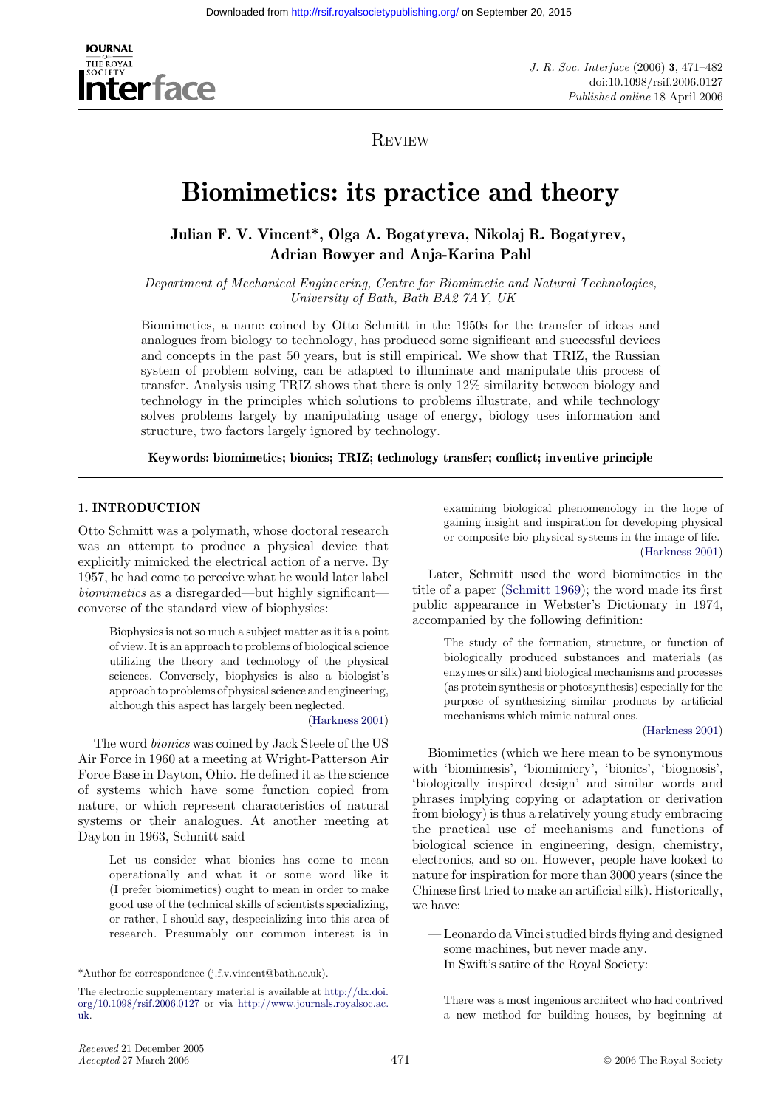

# **REVIEW**

# Biomimetics: its practice and theory

Julian F. V. Vincent\*, Olga A. Bogatyreva, Nikolaj R. Bogatyrev, Adrian Bowyer and Anja-Karina Pahl

Department of Mechanical Engineering, Centre for Biomimetic and Natural Technologies, University of Bath, Bath BA2 7AY, UK

Biomimetics, a name coined by Otto Schmitt in the 1950s for the transfer of ideas and analogues from biology to technology, has produced some significant and successful devices and concepts in the past 50 years, but is still empirical. We show that TRIZ, the Russian system of problem solving, can be adapted to illuminate and manipulate this process of transfer. Analysis using TRIZ shows that there is only 12% similarity between biology and technology in the principles which solutions to problems illustrate, and while technology solves problems largely by manipulating usage of energy, biology uses information and structure, two factors largely ignored by technology.

Keywords: biomimetics; bionics; TRIZ; technology transfer; conflict; inventive principle

# 1. INTRODUCTION

Otto Schmitt was a polymath, whose doctoral research was an attempt to produce a physical device that explicitly mimicked the electrical action of a nerve. By 1957, he had come to perceive what he would later label biomimetics as a disregarded—but highly significant converse of the standard view of biophysics:

Biophysics is not so much a subject matter as it is a point of view. It is an approach to problems of biological science utilizing the theory and technology of the physical sciences. Conversely, biophysics is also a biologist's approach to problems of physical science and engineering, although this aspect has largely been neglected.

(Harkness 2001)

The word bionics was coined by Jack Steele of the US Air Force in 1960 at a meeting at Wright-Patterson Air Force Base in Dayton, Ohio. He defined it as the science of systems which have some function [copied from](#page-10-0) nature, or which represent characteristics of natural systems or their analogues. At another meeting at Dayton in 1963, Schmitt said

Let us consider what bionics has come to mean operationally and what it or some word like it (I prefer biomimetics) ought to mean in order to make good use of the technical skills of scientists specializing, or rather, I should say, despecializing into this area of research. Presumably our common interest is in examining biological phenomenology in the hope of gaining insight and inspiration for developing physical or composite bio-physical systems in the image of life. (Harkness 2001)

Later, Schmitt used the word biomimetics in the title of a paper (Schmitt 1969); the word made its first public appearance in Webster's Dictionary in 1974, accompanied by the following definition:

The study of the formation, structure, or function of biologically [produced sub](#page-11-0)stances and materials (as enzymes or silk) and biological mechanisms and processes (as protein synthesis or photosynthesis) especially for the purpose of synthesizing similar products by artificial mechanisms which mimic natural ones.

#### (Harkness 2001)

Biomimetics (which we here mean to be synonymous with 'biomimesis', 'biomimicry', 'bionics', 'biognosis', 'biologically inspired design' and similar words and phrases implying copying or adaptation [or derivation](#page-10-0) from biology) is thus a relatively young study embracing the practical use of mechanisms and functions of biological science in engineering, design, chemistry, electronics, and so on. However, people have looked to nature for inspiration for more than 3000 years (since the Chinese first tried to make an artificial silk). Historically, we have:

- Leonardo da Vinci studied birds flying and designed some machines, but never made any.
- In Swift's satire of the Royal Society:

There was a most ingenious architect who had contrived a new method for building houses, by beginning at

<sup>\*</sup>Author for correspondence (j.f.v.vincent@bath.ac.uk).

The electronic supplementary material is available at http://dx.doi. org/10.1098/rsif.2006.0127 or via http://www.journals.royalsoc.ac. uk.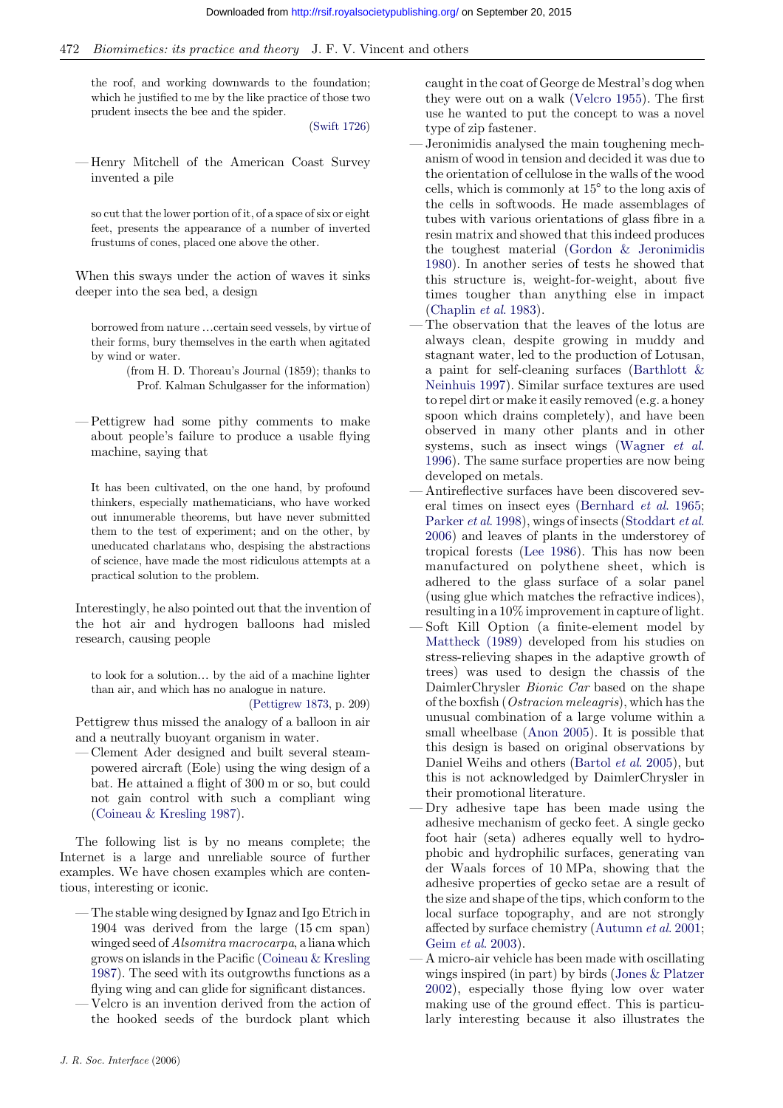the roof, and working downwards to [the](http://rsif.royalsocietypublishing.org/) [foundation;](http://rsif.royalsocietypublishing.org/) which he justified to me by the like practice of those two prudent insects the bee and the spider.

(Swift 1726)

— Henry Mitchell of the American Coast Survey invented a pile

so cut that the lower portion of it, of a space of six or eight feet, presents the appearance of a number of inverted frustums of cones, placed one above the other.

When this sways under the action of waves it sinks deeper into the sea bed, a design

borrowed from nature ...certain seed vessels, by virtue of their forms, bury themselves in the earth when agitated by wind or water.

> (from H. D. Thoreau's Journal (1859); thanks to Prof. Kalman Schulgasser for the information)

— Pettigrew had some pithy comments to make about people's failure to produce a usable flying machine, saying that

It has been cultivated, on the one hand, by profound thinkers, especially mathematicians, who have worked out innumerable theorems, but have never submitted them to the test of experiment; and on the other, by uneducated charlatans who, despising the abstractions of science, have made the most ridiculous attempts at a practical solution to the problem.

Interestingly, he also pointed out that the invention of the hot air and hydrogen balloons had misled research, causing people

to look for a solution. by the aid of a machine lighter than air, and which has no analogue in nature.

(Pettigrew 1873, p. 209)

Pettigrew thus missed the analogy of a balloon in air and a neutrally buoyant organism in water.

— Clement Ader designed and built several steampowered aircraft (Eole) usin[g the wing desi](#page-11-0)gn of a bat. He attained a flight of 300 m or so, but could not gain control with such a compliant wing (Coineau & Kresling 1987).

The following list is by no means complete; the Internet is a large and unreliable source of further exam[ples. We have chosen exam](#page-10-0)ples which are contentious, interesting or iconic.

- The stable wing designed by Ignaz and Igo Etrich in 1904 was derived from the large (15 cm span) winged seed of *Alsomitra macrocarpa*, a liana which grows on islands in the Pacific (Coineau & Kresling 1987). The seed with its outgrowths functions as a flying wing and can glide for significant distances.
- Velcro is an invention derived from the action of the hooked seeds of the bu[rdock plant which](#page-10-0)

caught in the coat of George de Mestral's dog when they were out on a walk (Velcro 1955). The first use he wanted to put the concept to was a novel type of zip fastener.

- Jeronimidis analysed the main toughening mechanism of wood in tension a[nd decided it](#page-11-0) was due to the orientation of cellulose in the walls of the wood cells, which is commonly at  $15^{\circ}$  to the long axis of the cells in softwoods. He made assemblages of tubes with various orientations of glass fibre in a resin matrix and showed that this indeed produces the toughest material (Gordon & Jeronimidis 1980). In another series of tests he showed that this structure is, weight-for-weight, about five times tougher than anything else in impact (Chaplin et al. 1983).
- Th[e](#page-10-0) observation that the [leaves](#page-10-0) [of](#page-10-0) [the](#page-10-0) [lotus](#page-10-0) [are](#page-10-0) always clean, despite growing in muddy and stagnant water, led to the production of Lotusan, [a paint for self-cle](#page-10-0)aning surfaces (Barthlott & Neinhuis 1997). Similar surface textures are used to repel dirt or make it easily removed (e.g. a honey spoon which drains completely), and have been observed in many other plants a[nd in other](#page-10-0) [systems, such](#page-10-0) as insect wings (Wagner *et al.*) 1996). The same surface properties are now being developed on metals.
- Antireflective surfaces have been discovered several times on insect eyes (Bernhard et al[. 1965;](#page-11-0) [Park](#page-11-0)er et al. 1998), wings of insects (Stoddart et al. 2006) and leaves of plants in the understorey of tropical forests (Lee 1986). This has now been manufactured on polyth[ene sheet, which is](#page-10-0) [adhered to the](#page-11-0) glass surface of [a solar panel](#page-11-0) [\(usin](#page-11-0)g glue which matches the refractive indices), resulting in a 10% [improvem](#page-10-0)ent in capture of light.
- Soft Kill Option (a finite-element model by Mattheck (1989) developed from his studies on stress-relieving shapes in the adaptive growth of trees) was used to design the chassis of the DaimlerChrysler Bionic Car based on the shape [of the boxfish \(](#page-10-0)Ostracion meleagris), which has the unusual combination of a large volume within a small wheelbase (Anon 2005). It is possible that this design is based on original observations by Daniel Weihs and others (Bartol et al. 2005), but this is not acknowledged by DaimlerChrysler in their promotional [literature.](#page-10-0)
- Dry adhesive tape has been made using the adhesive mechanism of ge[cko feet. A single](#page-10-0) gecko foot hair (seta) adheres equally well to hydrophobic and hydrophilic surfaces, generating van der Waals forces of 10 MPa, showing that the adhesive properties of gecko setae are a result of the size and shape of the tips, which conform to the local surface topography, and are not strongly affected by surface chemistry (Autumn et al. 2001; Geim et al. 2003).
- A micro-air vehicle has been made with oscillating wings inspired (in part) by birds (Jones & Platzer 2002), especially those flyi[ng low over water](#page-10-0) [making use of th](#page-10-0)e ground effect. This is particularly interesting because it also illustrates the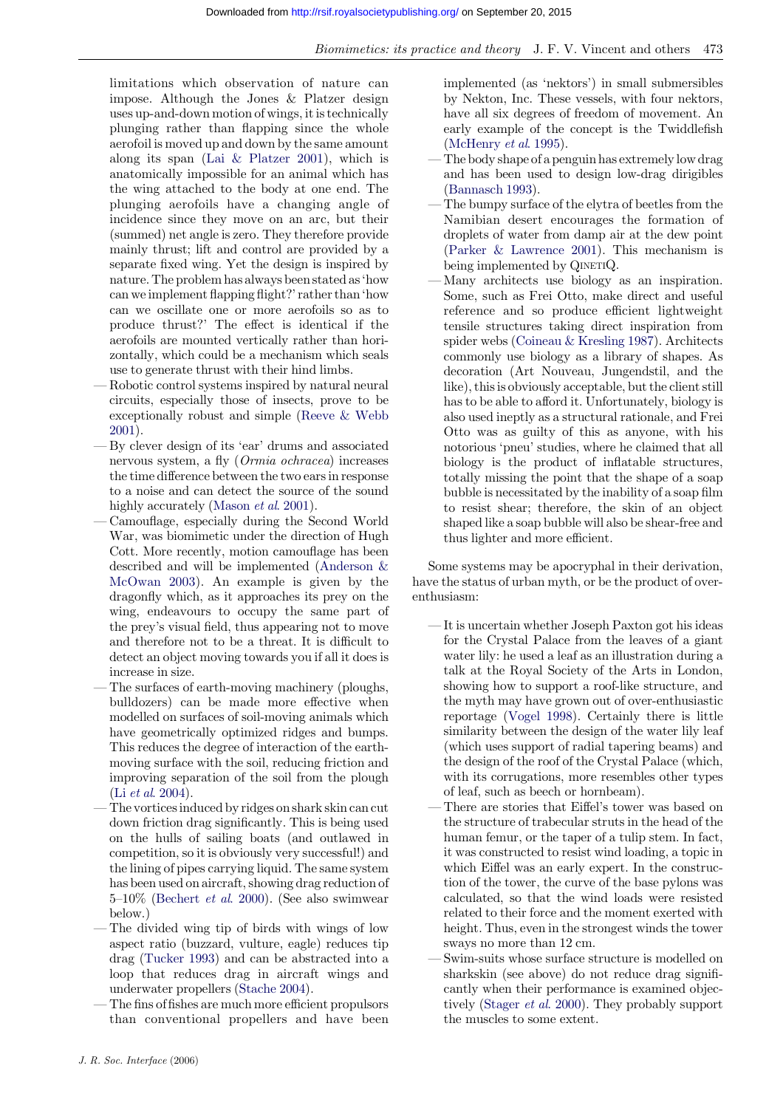limitations which observatio[n](http://rsif.royalsocietypublishing.org/) [of](http://rsif.royalsocietypublishing.org/) [nature](http://rsif.royalsocietypublishing.org/) [can](http://rsif.royalsocietypublishing.org/) impose. Although the Jones & Platzer design uses up-and-down motion of wings, it is technically plunging rather than flapping since the whole aerofoil is moved up and down by the same amount along its span (Lai & Platzer 2001), which is anatomically impossible for an animal which has the wing attached to the body at one end. The plunging aerofoils have a changing angle of incidence since [they move on an arc](#page-10-0), but their (summed) net angle is zero. They therefore provide mainly thrust; lift and control are provided by a separate fixed wing. Yet the design is inspired by nature. The problem has always been stated as 'how can we implement flapping flight?' rather than 'how can we oscillate one or more aerofoils so as to produce thrust?' The effect is identical if the aerofoils are mounted vertically rather than horizontally, which could be a mechanism which seals use to generate thrust with their hind limbs.

- Robotic control systems inspired by natural neural circuits, especially those of insects, prove to be exceptionally robust and simple (Reeve & Webb 2001).
- By clever design of its 'ear' drums and associated nervous system, a fly (Ormia ochracea) increases the time difference between the two [ears in response](#page-11-0) [to a](#page-11-0) noise and can detect the source of the sound highly accurately (Mason *et al.* 2001).
- Camouflage, especially during the Second World War, was biomimetic under the direction of Hugh Cott. More recently, motion camouflage has been described and wil[l be implemented](#page-10-0) (Anderson & McOwan 2003). An example is given by the dragonfly which, as it approaches its prey on the wing, endeavours to occupy the same part of the prey's visual field, thus appearing [not to move](#page-10-0) [and therefore n](#page-10-0)ot to be a threat. It is difficult to detect an object moving towards you if all it does is increase in size.
- The surfaces of earth-moving machinery (ploughs, bulldozers) can be made more effective when modelled on surfaces of soil-moving animals which have geometrically optimized ridges and bumps. This reduces the degree of interaction of the earthmoving surface with the soil, reducing friction and improving separation of the soil from the plough (Li et al. 2004).
- The vortices induced by ridges on shark skin can cut down friction drag significantly. This is being used on the hulls of sailing boats (and outlawed in [competition, s](#page-10-0)o it is obviously very successful!) and the lining of pipes carrying liquid. The same system has been used on aircraft, showing drag reduction of  $5-10\%$  (Bechert *et al.* 2000). (See also swimwear below.)
- The divided wing tip of birds with wings of low aspect ratio (buzzard, vulture, eagle) reduces tip drag (T[ucker 1993\) and can](#page-10-0) be abstracted into a loop that reduces drag in aircraft wings and underwater propellers (Stache 2004).
- The fins of fishes are much more efficient propulsors than [conventiona](#page-11-0)l propellers and have been

implemented (as 'nektors') in small submersibles by Nekton, Inc. These vessels, with four nektors, have all six degrees of freedom of movement. An early example of the concept is the Twiddlefish (McHenry et al. 1995).

- The body shape of a penguin has extremely low drag and has been used to design low-drag dirigibles (Bannasch 1993).
- [The bumpy surface of](#page-10-0) the elytra of beetles from the Namibian desert encourages the formation of droplets of water from damp air at the dew point ([Parker & Law](#page-10-0)rence 2001). This mechanism is being implemented by QINETIQ.
- Many architects use biology as an inspiration. Some, such as Frei Otto, make direct and useful [reference and so produce](#page-11-0) efficient lightweight tensile structures taking direct inspiration from spider webs (Coineau & Kresling 1987). Architects commonly use biology as a library of shapes. As decoration (Art Nouveau, Jungendstil, and the like), this is obviously acceptable, but the client still has to be abl[e to afford it. Unfortunatel](#page-10-0)y, biology is also used ineptly as a structural rationale, and Frei Otto was as guilty of this as anyone, with his notorious 'pneu' studies, where he claimed that all biology is the product of inflatable structures, totally missing the point that the shape of a soap bubble is necessitated by the inability of a soap film to resist shear; therefore, the skin of an object shaped like a soap bubble will also be shear-free and thus lighter and more efficient.

Some systems may be apocryphal in their derivation, have the status of urban myth, or be the product of overenthusiasm:

- It is uncertain whether Joseph Paxton got his ideas for the Crystal Palace from the leaves of a giant water lily: he used a leaf as an illustration during a talk at the Royal Society of the Arts in London, showing how to support a roof-like structure, and the myth may have grown out of over-enthusiastic reportage (Vogel 1998). Certainly there is little similarity between the design of the water lily leaf (which uses support of radial tapering beams) and the design of the roof of the Crystal Palace (which, with its co[rrugations, m](#page-11-0)ore resembles other types of leaf, such as beech or hornbeam).
- There are stories that Eiffel's tower was based on the structure of trabecular struts in the head of the human femur, or the taper of a tulip stem. In fact, it was constructed to resist wind loading, a topic in which Eiffel was an early expert. In the construction of the tower, the curve of the base pylons was calculated, so that the wind loads were resisted related to their force and the moment exerted with height. Thus, even in the strongest winds the tower sways no more than 12 cm.
- Swim-suits whose surface structure is modelled on sharkskin (see above) do not reduce drag significantly when their performance is examined objectively (Stager et al. 2000). They probably support the muscles to some extent.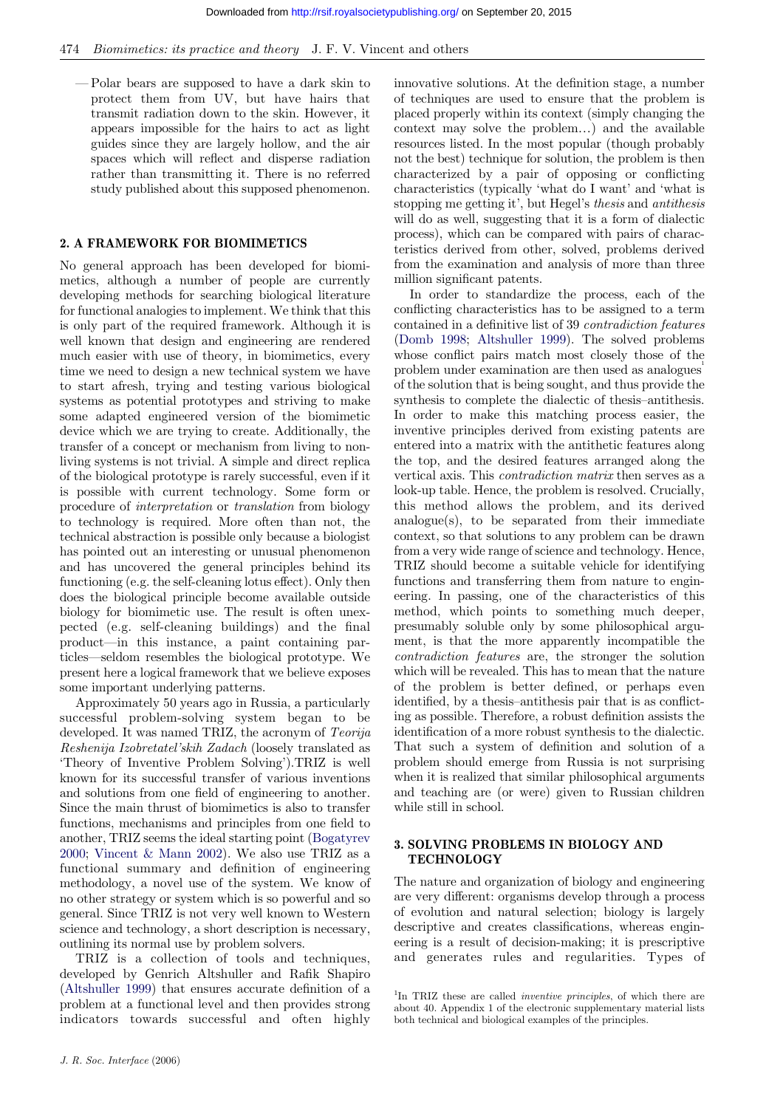— Polar bears are supposed to have [a](http://rsif.royalsocietypublishing.org/) [dark](http://rsif.royalsocietypublishing.org/) [skin](http://rsif.royalsocietypublishing.org/) [to](http://rsif.royalsocietypublishing.org/) protect them from UV, but have hairs that transmit radiation down to the skin. However, it appears impossible for the hairs to act as light guides since they are largely hollow, and the air spaces which will reflect and disperse radiation rather than transmitting it. There is no referred study published about this supposed phenomenon.

# 2. A FRAMEWORK FOR BIOMIMETICS

No general approach has been developed for biomimetics, although a number of people are currently developing methods for searching biological literature for functional analogies to implement. We think that this is only part of the required framework. Although it is well known that design and engineering are rendered much easier with use of theory, in biomimetics, every time we need to design a new technical system we have to start afresh, trying and testing various biological systems as potential prototypes and striving to make some adapted engineered version of the biomimetic device which we are trying to create. Additionally, the transfer of a concept or mechanism from living to nonliving systems is not trivial. A simple and direct replica of the biological prototype is rarely successful, even if it is possible with current technology. Some form or procedure of interpretation or translation from biology to technology is required. More often than not, the technical abstraction is possible only because a biologist has pointed out an interesting or unusual phenomenon and has uncovered the general principles behind its functioning (e.g. the self-cleaning lotus effect). Only then does the biological principle become available outside biology for biomimetic use. The result is often unexpected (e.g. self-cleaning buildings) and the final product—in this instance, a paint containing particles—seldom resembles the biological prototype. We present here a logical framework that we believe exposes some important underlying patterns.

Approximately 50 years ago in Russia, a particularly successful problem-solving system began to be developed. It was named TRIZ, the acronym of Teorija Reshenija Izobretatel'skih Zadach (loosely translated as 'Theory of Inventive Problem Solving').TRIZ is well known for its successful transfer of various inventions and solutions from one field of engineering to another. Since the main thrust of biomimetics is also to transfer functions, mechanisms and principles from one field to another, TRIZ seems the ideal starting point (Bogatyrev 2000; Vincent & Mann 2002). We also use TRIZ as a functional summary and definition of engineering methodology, a novel use of the system. We know of no other strategy or system which is so powe[rful and so](#page-10-0) [gener](#page-10-0)[al. Since TRIZ is not ve](#page-11-0)ry well known to Western science and technology, a short description is necessary, outlining its normal use by problem solvers.

TRIZ is a collection of tools and techniques, developed by Genrich Altshuller and Rafik Shapiro (Altshuller 1999) that ensures accurate definition of a problem at a functional level and then provides strong indicators towards successful and often highly

innovative solutions. At the definition stage, a number of techniques are used to ensure that the problem is placed properly within its context (simply changing the context may solve the problem.) and the available resources listed. In the most popular (though probably not the best) technique for solution, the problem is then characterized by a pair of opposing or conflicting characteristics (typically 'what do I want' and 'what is stopping me getting it', but Hegel's thesis and antithesis will do as well, suggesting that it is a form of dialectic process), which can be compared with pairs of characteristics derived from other, solved, problems derived from the examination and analysis of more than three million significant patents.

In order to standardize the process, each of the conflicting characteristics has to be assigned to a term contained in a definitive list of 39 contradiction features (Domb 1998; Altshuller 1999). The solved problems whose conflict pairs match most closely those of the problem under examination are then used as analogues of the solution that is being sought, and thus provide the [synthesis to complete the diale](#page-10-0)ctic of thesis–antithesis. In order to make this matching process easier, the inventive principles derived from existing patents are entered into a matrix with the antithetic features along the top, and the desired features arranged along the vertical axis. This *contradiction matrix* then serves as a look-up table. Hence, the problem is resolved. Crucially, this method allows the problem, and its derived analogue(s), to be separated from their immediate context, so that solutions to any problem can be drawn from a very wide range of science and technology. Hence, TRIZ should become a suitable vehicle for identifying functions and transferring them from nature to engineering. In passing, one of the characteristics of this method, which points to something much deeper, presumably soluble only by some philosophical argument, is that the more apparently incompatible the contradiction features are, the stronger the solution which will be revealed. This has to mean that the nature of the problem is better defined, or perhaps even identified, by a thesis–antithesis pair that is as conflicting as possible. Therefore, a robust definition assists the identification of a more robust synthesis to the dialectic. That such a system of definition and solution of a problem should emerge from Russia is not surprising when it is realized that similar philosophical arguments and teaching are (or were) given to Russian children while still in school.

# 3. SOLVING PROBLEMS IN BIOLOGY AND **TECHNOLOGY**

The nature and organization of biology and engineering are very different: organisms develop through a process of evolution and natural selection; biology is largely descriptive and creates classifications, whereas engineering is a result of decision-making; it is prescriptive and generates rules and regularities. Types of

<sup>&</sup>lt;sup>1</sup>In TRIZ these are called *inventive principles*, of which there are about 40. Appendix 1 of the electronic supplementary material lists both technical and biological examples of the principles.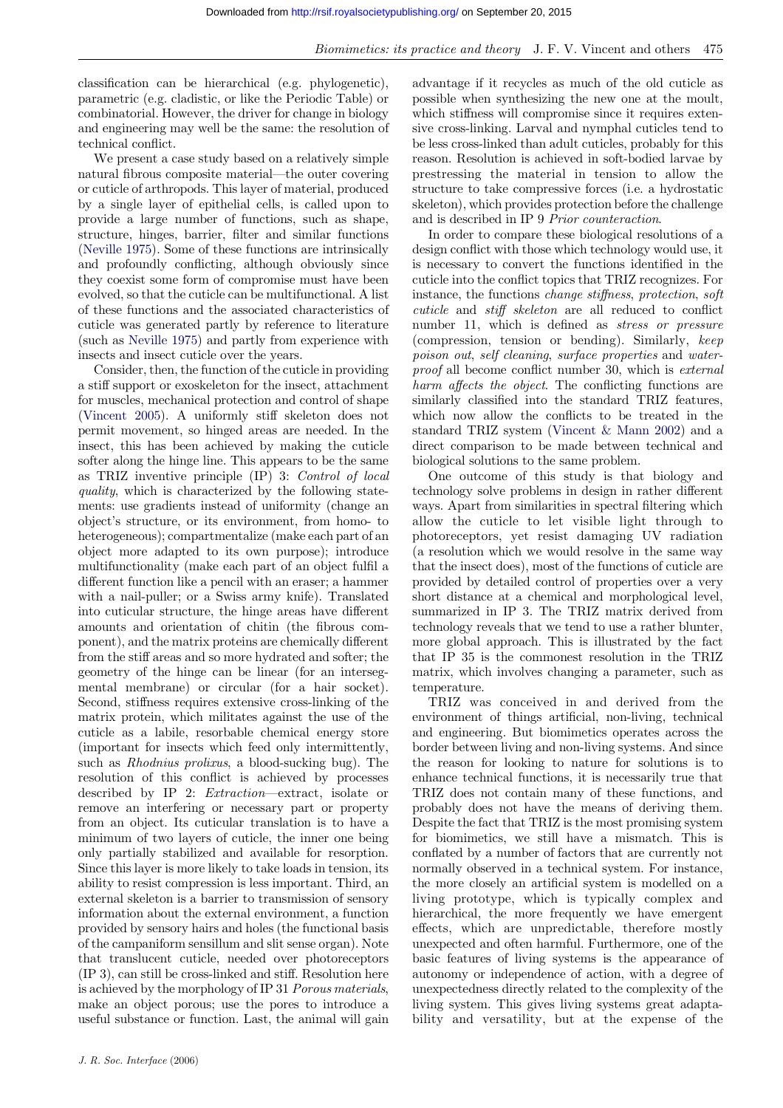classification can be hierarchical (e[.g.](http://rsif.royalsocietypublishing.org/) [phylogenetic\),](http://rsif.royalsocietypublishing.org/) parametric (e.g. cladistic, or like the Periodic Table) or combinatorial. However, the driver for change in biology and engineering may well be the same: the resolution of technical conflict.

We present a case study based on a relatively simple natural fibrous composite material—the outer covering or cuticle of arthropods. This layer of material, produced by a single layer of epithelial cells, is called upon to provide a large number of functions, such as shape, structure, hinges, barrier, filter and similar functions (Neville 1975). Some of these functions are intrinsically and profoundly conflicting, although obviously since they coexist some form of compromise must have been evolved, so that the cuticle can be multifunctional. A list [of these funct](#page-10-0)ions and the associated characteristics of cuticle was generated partly by reference to literature (such as Neville 1975) and partly from experience with insects and insect cuticle over the years.

Consider, then, the function of the cuticle in providing a stiff support or exoskeleton for the insect, attachment for musc[les, mechanic](#page-10-0)al protection and control of shape (Vincent 2005). A uniformly stiff skeleton does not permit movement, so hinged areas are needed. In the insect, this has been achieved by making the cuticle softer along the hinge line. This appears to be the same [as TRIZ inven](#page-11-0)tive principle (IP) 3: Control of local quality, which is characterized by the following statements: use gradients instead of uniformity (change an object's structure, or its environment, from homo- to heterogeneous); compartmentalize (make each part of an object more adapted to its own purpose); introduce multifunctionality (make each part of an object fulfil a different function like a pencil with an eraser; a hammer with a nail-puller; or a Swiss army knife). Translated into cuticular structure, the hinge areas have different amounts and orientation of chitin (the fibrous component), and the matrix proteins are chemically different from the stiff areas and so more hydrated and softer; the geometry of the hinge can be linear (for an intersegmental membrane) or circular (for a hair socket). Second, stiffness requires extensive cross-linking of the matrix protein, which militates against the use of the cuticle as a labile, resorbable chemical energy store (important for insects which feed only intermittently, such as Rhodnius prolixus, a blood-sucking bug). The resolution of this conflict is achieved by processes described by IP 2: Extraction—extract, isolate or remove an interfering or necessary part or property from an object. Its cuticular translation is to have a minimum of two layers of cuticle, the inner one being only partially stabilized and available for resorption. Since this layer is more likely to take loads in tension, its ability to resist compression is less important. Third, an external skeleton is a barrier to transmission of sensory information about the external environment, a function provided by sensory hairs and holes (the functional basis of the campaniform sensillum and slit sense organ). Note that translucent cuticle, needed over photoreceptors (IP 3), can still be cross-linked and stiff. Resolution here is achieved by the morphology of IP 31 Porous materials, make an object porous; use the pores to introduce a useful substance or function. Last, the animal will gain

advantage if it recycles as much of the old cuticle as possible when synthesizing the new one at the moult, which stiffness will compromise since it requires extensive cross-linking. Larval and nymphal cuticles tend to be less cross-linked than adult cuticles, probably for this reason. Resolution is achieved in soft-bodied larvae by prestressing the material in tension to allow the structure to take compressive forces (i.e. a hydrostatic skeleton), which provides protection before the challenge and is described in IP 9 Prior counteraction.

In order to compare these biological resolutions of a design conflict with those which technology would use, it is necessary to convert the functions identified in the cuticle into the conflict topics that TRIZ recognizes. For instance, the functions change stiffness, protection, soft cuticle and stiff skeleton are all reduced to conflict number 11, which is defined as *stress or pressure* (compression, tension or bending). Similarly, keep poison out, self cleaning, surface properties and waterproof all become conflict number 30, which is external harm affects the object. The conflicting functions are similarly classified into the standard TRIZ features, which now allow the conflicts to be treated in the standard TRIZ system (Vincent & Mann 2002) and a direct comparison to be made between technical and biological solutions to the same problem.

One outcome of this study is that biology and technology solve proble[ms in design in rather d](#page-11-0)ifferent ways. Apart from similarities in spectral filtering which allow the cuticle to let visible light through to photoreceptors, yet resist damaging UV radiation (a resolution which we would resolve in the same way that the insect does), most of the functions of cuticle are provided by detailed control of properties over a very short distance at a chemical and morphological level, summarized in IP 3. The TRIZ matrix derived from technology reveals that we tend to use a rather blunter, more global approach. This is illustrated by the fact that IP 35 is the commonest resolution in the TRIZ matrix, which involves changing a parameter, such as temperature.

TRIZ was conceived in and derived from the environment of things artificial, non-living, technical and engineering. But biomimetics operates across the border between living and non-living systems. And since the reason for looking to nature for solutions is to enhance technical functions, it is necessarily true that TRIZ does not contain many of these functions, and probably does not have the means of deriving them. Despite the fact that TRIZ is the most promising system for biomimetics, we still have a mismatch. This is conflated by a number of factors that are currently not normally observed in a technical system. For instance, the more closely an artificial system is modelled on a living prototype, which is typically complex and hierarchical, the more frequently we have emergent effects, which are unpredictable, therefore mostly unexpected and often harmful. Furthermore, one of the basic features of living systems is the appearance of autonomy or independence of action, with a degree of unexpectedness directly related to the complexity of the living system. This gives living systems great adaptability and versatility, but at the expense of the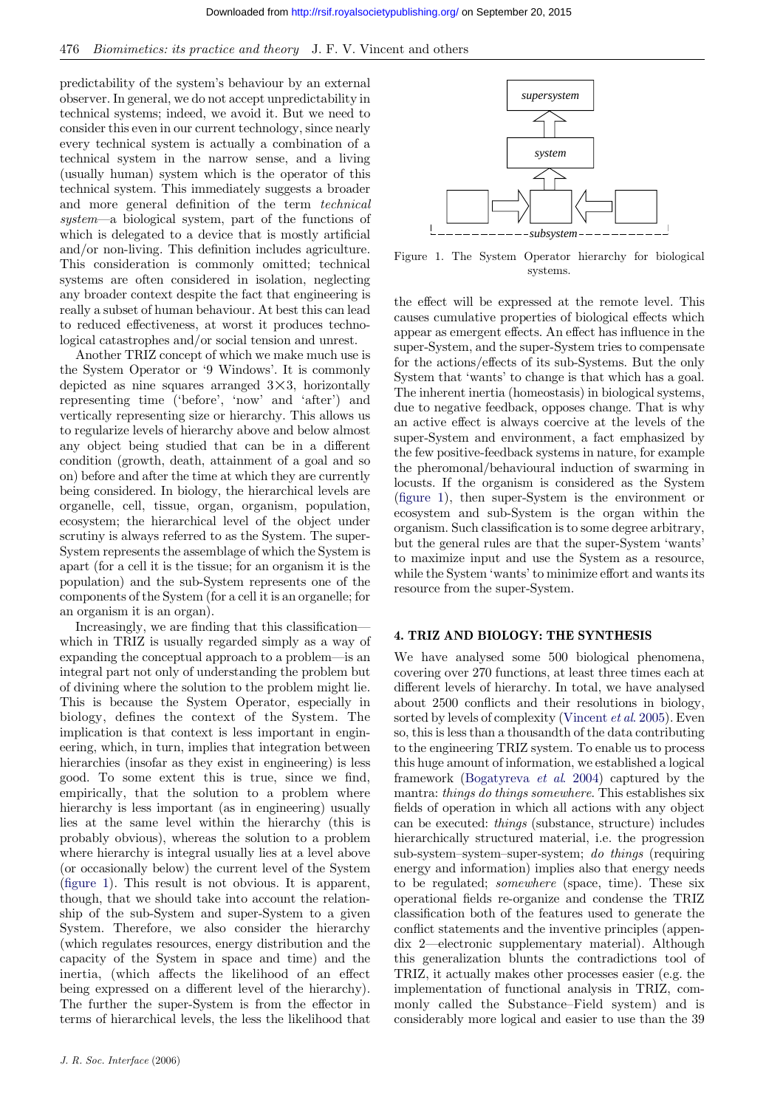predictability of the system's behaviour [by](http://rsif.royalsocietypublishing.org/) [an](http://rsif.royalsocietypublishing.org/) [external](http://rsif.royalsocietypublishing.org/) observer. In general, we do not accept unpredictability in technical systems; indeed, we avoid it. But we need to consider this even in our current technology, since nearly every technical system is actually a combination of a technical system in the narrow sense, and a living (usually human) system which is the operator of this technical system. This immediately suggests a broader and more general definition of the term technical system—a biological system, part of the functions of which is delegated to a device that is mostly artificial and/or non-living. This definition includes agriculture. This consideration is commonly omitted; technical systems are often considered in isolation, neglecting any broader context despite the fact that engineering is really a subset of human behaviour. At best this can lead to reduced effectiveness, at worst it produces technological catastrophes and/or social tension and unrest.

Another TRIZ concept of which we make much use is the System Operator or '9 Windows'. It is commonly depicted as nine squares arranged  $3 \times 3$ , horizontally representing time ('before', 'now' and 'after') and vertically representing size or hierarchy. This allows us to regularize levels of hierarchy above and below almost any object being studied that can be in a different condition (growth, death, attainment of a goal and so on) before and after the time at which they are currently being considered. In biology, the hierarchical levels are organelle, cell, tissue, organ, organism, population, ecosystem; the hierarchical level of the object under scrutiny is always referred to as the System. The super-System represents the assemblage of which the System is apart (for a cell it is the tissue; for an organism it is the population) and the sub-System represents one of the components of the System (for a cell it is an organelle; for an organism it is an organ).

Increasingly, we are finding that this classification which in TRIZ is usually regarded simply as a way of expanding the conceptual approach to a problem—is an integral part not only of understanding the problem but of divining where the solution to the problem might lie. This is because the System Operator, especially in biology, defines the context of the System. The implication is that context is less important in engineering, which, in turn, implies that integration between hierarchies (insofar as they exist in engineering) is less good. To some extent this is true, since we find, empirically, that the solution to a problem where hierarchy is less important (as in engineering) usually lies at the same level within the hierarchy (this is probably obvious), whereas the solution to a problem where hierarchy is integral usually lies at a level above (or occasionally below) the current level of the System (figure 1). This result is not obvious. It is apparent, though, that we should take into account the relationship of the sub-System and super-System to a given System. Therefore, we also consider the hierarchy (which regulates resources, energy distribution and the capacity of the System in space and time) and the inertia, (which affects the likelihood of an effect being expressed on a different level of the hierarchy). The further the super-System is from the effector in terms of hierarchical levels, the less the likelihood that



Figure 1. The System Operator hierarchy for biological systems.

the effect will be expressed at the remote level. This causes cumulative properties of biological effects which appear as emergent effects. An effect has influence in the super-System, and the super-System tries to compensate for the actions/effects of its sub-Systems. But the only System that 'wants' to change is that which has a goal. The inherent inertia (homeostasis) in biological systems, due to negative feedback, opposes change. That is why an active effect is always coercive at the levels of the super-System and environment, a fact emphasized by the few positive-feedback systems in nature, for example the pheromonal/behavioural induction of swarming in locusts. If the organism is considered as the System (figure 1), then super-System is the environment or ecosystem and sub-System is the organ within the organism. Such classification is to some degree arbitrary, but the general rules are that the super-System 'wants' to maximize input and use the System as a resource, while the System 'wants' to minimize effort and wants its resource from the super-System.

#### 4. TRIZ AND BIOLOGY: THE SYNTHESIS

We have analysed some 500 biological phenomena, covering over 270 functions, at least three times each at different levels of hierarchy. In total, we have analysed about 2500 conflicts and their resolutions in biology, sorted by levels of complexity (Vincent *et al.* 2005). Even so, this is less than a thousandth of the data contributing to the engineering TRIZ system. To enable us to process this huge amount of information, we established a logical framework (Bogatyreva et al[. 2004\) captured](#page-11-0) by the mantra: *things do things somewhere*. This establishes six fields of operation in which all actions with any object can be executed: things (substance, structure) includes hierarchicall[y structured material, i](#page-10-0).e. the progression sub-system–system–super-system; do things (requiring energy and information) implies also that energy needs to be regulated; somewhere (space, time). These six operational fields re-organize and condense the TRIZ classification both of the features used to generate the conflict statements and the inventive principles (appendix 2—electronic supplementary material). Although this generalization blunts the contradictions tool of TRIZ, it actually makes other processes easier (e.g. the implementation of functional analysis in TRIZ, commonly called the Substance–Field system) and is considerably more logical and easier to use than the 39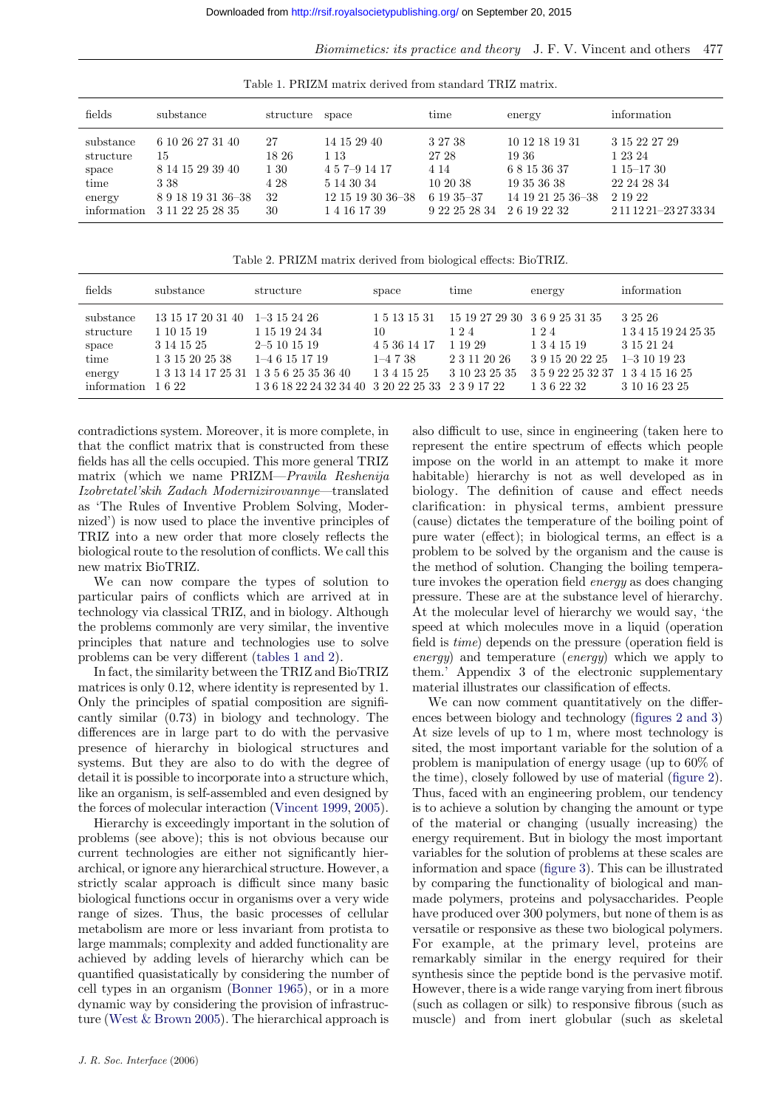Table 1. [PRIZM](http://rsif.royalsocietypublishing.org/) [matrix](http://rsif.royalsocietypublishing.org/) [derived](http://rsif.royalsocietypublishing.org/) [from](http://rsif.royalsocietypublishing.org/) [stand](http://rsif.royalsocietypublishing.org/)ard TRIZ matrix.

<span id="page-6-0"></span>

| fields      | substance        | structure | space               | time          | energy              | information              |
|-------------|------------------|-----------|---------------------|---------------|---------------------|--------------------------|
| substance   | 6 10 26 27 31 40 | 27        | 14 15 29 40         | 3 27 38       | 10 12 18 19 31      | 3 15 22 27 29            |
| structure   | 15               | 18 26     | 1 13                | 27 28         | 19.36               | 1 23 24                  |
| space       | 8 14 15 29 39 40 | 1 30      | 4 5 7 - 9 14 17     | 4 14          | 6 8 15 36 37        | $115 - 1730$             |
| time        | 3.38             | 4 28      | 5 14 30 34          | 10 20 38      | 19 35 36 38         | 22 24 28 34              |
| energy      | 8918193136-38    | 32        | 12 15 19 30 36 - 38 | 6 19 35 - 37  | 14 19 21 25 36 - 38 | 2 19 22                  |
| information | 3 11 22 25 28 35 | 30        | 1 4 16 17 39        | 9 22 25 28 34 | 26 19 22 32         | 2 11 12 21 - 23 27 33 34 |

Table 2. PRIZM matrix derived from biological effects: BioTRIZ.

| fields                                                           | substance                                                                | structure                                                                                                                                                         | space                                                           | time                                                                            | energy                                                                                    | information                                                                        |
|------------------------------------------------------------------|--------------------------------------------------------------------------|-------------------------------------------------------------------------------------------------------------------------------------------------------------------|-----------------------------------------------------------------|---------------------------------------------------------------------------------|-------------------------------------------------------------------------------------------|------------------------------------------------------------------------------------|
| substance<br>structure<br>space<br>time<br>energy<br>information | 13 15 17 20 31 40<br>1 10 15 19<br>3 14 15 25<br>1 3 15 20 25 38<br>1622 | $1 - 3$ 15 24 26<br>1 15 19 24 34<br>$2 - 5101519$<br>$1-46151719$<br>1 3 13 14 17 25 31 1 3 5 6 25 35 36 40<br>1 3 6 18 22 24 32 34 40 3 20 22 25 33 2 3 9 17 22 | 1 5 13 15 31<br>10<br>4 5 36 14 17<br>$1 - 4738$<br>1 3 4 15 25 | 15 19 27 29 30 36 9 25 31 35<br>124<br>1 19 29<br>2 3 11 20 26<br>3 10 23 25 35 | 12.4<br>1 3 4 15 19<br>3 9 15 20 22 25<br>3 5 9 22 25 32 37 1 3 4 15 16 25<br>1 3 6 22 32 | 3 25 26<br>1 3 4 15 19 24 25 35<br>3 15 21 24<br>$1 - 3$ 10 19 23<br>3 10 16 23 25 |

contradictions system. Moreover, it is more complete, in that the conflict matrix that is constructed from these fields has all the cells occupied. This more general TRIZ matrix (which we name PRIZM—Pravila Reshenija Izobretatel'skih Zadach Modernizirovannye—translated as 'The Rules of Inventive Problem Solving, Modernized') is now used to place the inventive principles of TRIZ into a new order that more closely reflects the biological route to the resolution of conflicts. We call this new matrix BioTRIZ.

We can now compare the types of solution to particular pairs of conflicts which are arrived at in technology via classical TRIZ, and in biology. Although the problems commonly are very similar, the inventive principles that nature and technologies use to solve problems can be very different (tables 1 and 2).

In fact, the similarity between the TRIZ and BioTRIZ matrices is only 0.12, where identity is represented by 1. Only the principles of spatial composition are significantly similar (0.73) in biology and technology. The differences are in large part to do with the pervasive presence of hierarchy in biological structures and systems. But they are also to do with the degree of detail it is possible to incorporate into a structure which, like an organism, is self-assembled and even designed by the forces of molecular interaction (Vincent 1999, 2005).

Hierarchy is exceedingly important in the solution of problems (see above); this is not obvious because our current technologies are either not significantly hierarchical, or ignore any hierarchical [structure. However,](#page-11-0) a strictly scalar approach is difficult since many basic biological functions occur in organisms over a very wide range of sizes. Thus, the basic processes of cellular metabolism are more or less invariant from protista to large mammals; complexity and added functionality are achieved by adding levels of hierarchy which can be quantified quasistatically by considering the number of cell types in an organism (Bonner 1965), or in a more dynamic way by considering the provision of infrastructure (West & Brown 2005). The hierarchical approach is also difficult to use, since in engineering (taken here to represent the entire spectrum of effects which people impose on the world in an attempt to make it more habitable) hierarchy is not as well developed as in biology. The definition of cause and effect needs clarification: in physical terms, ambient pressure (cause) dictates the temperature of the boiling point of pure water (effect); in biological terms, an effect is a problem to be solved by the organism and the cause is the method of solution. Changing the boiling temperature invokes the operation field energy as does changing pressure. These are at the substance level of hierarchy. At the molecular level of hierarchy we would say, 'the speed at which molecules move in a liquid (operation field is time) depends on the pressure (operation field is energy) and temperature (energy) which we apply to them.' Appendix 3 of the electronic supplementary material illustrates our classification of effects.

We can now comment quantitatively on the differences between biology and technology (figures 2 and 3) At size levels of up to 1 m, where most technology is sited, the most important variable for the solution of a problem is manipulation of energy usage (up to 60% of the time), closely followed by use of ma[terial \(figure 2\)](#page-7-0). Thus, faced with an engineering problem, our tendency is to achieve a solution by changing the amount or type of the material or changing (usually increasing) the energy requirement. But in biology the most i[mportan](#page-7-0)t variables for the solution of problems at these scales are information and space (figure 3). This can be illustrated by comparing the functionality of biological and manmade polymers, proteins and polysaccharides. People have produced over 300 polymers, but none of them is as versatile or responsive [as these](#page-7-0) two biological polymers. For example, at the primary level, proteins are remarkably similar in the energy required for their synthesis since the peptide bond is the pervasive motif. However, there is a wide range varying from inert fibrous (such as collagen or silk) to responsive fibrous (such as muscle) and from inert globular (such as skeletal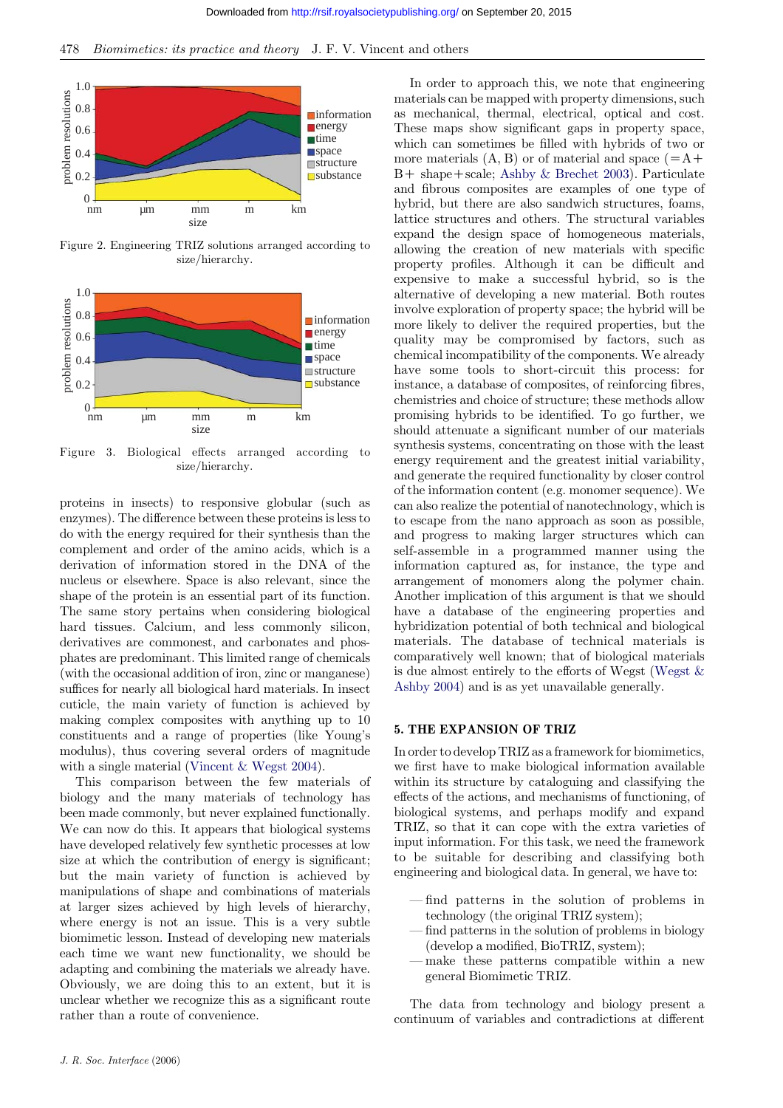<span id="page-7-0"></span>

Figure 2. Engineering TRIZ solutions arranged according to size/hierarchy.



Figure 3. Biological effects arranged according to size/hierarchy.

proteins in insects) to responsive globular (such as enzymes). The difference between these proteins is less to do with the energy required for their synthesis than the complement and order of the amino acids, which is a derivation of information stored in the DNA of the nucleus or elsewhere. Space is also relevant, since the shape of the protein is an essential part of its function. The same story pertains when considering biological hard tissues. Calcium, and less commonly silicon, derivatives are commonest, and carbonates and phosphates are predominant. This limited range of chemicals (with the occasional addition of iron, zinc or manganese) suffices for nearly all biological hard materials. In insect cuticle, the main variety of function is achieved by making complex composites with anything up to 10 constituents and a range of properties (like Young's modulus), thus covering several orders of magnitude with a single material (Vincent & Wegst 2004).

This comparison between the few materials of biology and the many materials of technology has been made commonly, but never explained functionally. We can now do this. I[t appears that biologica](#page-11-0)l systems have developed relatively few synthetic processes at low size at which the contribution of energy is significant; but the main variety of function is achieved by manipulations of shape and combinations of materials at larger sizes achieved by high levels of hierarchy, where energy is not an issue. This is a very subtle biomimetic lesson. Instead of developing new materials each time we want new functionality, we should be adapting and combining the materials we already have. Obviously, we are doing this to an extent, but it is unclear whether we recognize this as a significant route rather than a route of convenience.

[In](http://rsif.royalsocietypublishing.org/) [order](http://rsif.royalsocietypublishing.org/) to approach this, we note that engineering materials can be mapped with property dimensions, such as mechanical, thermal, electrical, optical and cost. These maps show significant gaps in property space, which can sometimes be filled with hybrids of two or more materials  $(A, B)$  or of material and space  $(=A+$  $B+$  shape+scale; Ashby & Brechet 2003). Particulate and fibrous composites are examples of one type of hybrid, but there are also sandwich structures, foams, lattice structures and others. The structural variables expand the desig[n space of homogeneo](#page-10-0)us materials, allowing the creation of new materials with specific property profiles. Although it can be difficult and expensive to make a successful hybrid, so is the alternative of developing a new material. Both routes involve exploration of property space; the hybrid will be more likely to deliver the required properties, but the quality may be compromised by factors, such as chemical incompatibility of the components. We already have some tools to short-circuit this process: for instance, a database of composites, of reinforcing fibres, chemistries and choice of structure; these methods allow promising hybrids to be identified. To go further, we should attenuate a significant number of our materials synthesis systems, concentrating on those with the least energy requirement and the greatest initial variability, and generate the required functionality by closer control of the information content (e.g. monomer sequence). We can also realize the potential of nanotechnology, which is to escape from the nano approach as soon as possible, and progress to making larger structures which can self-assemble in a programmed manner using the information captured as, for instance, the type and arrangement of monomers along the polymer chain. Another implication of this argument is that we should have a database of the engineering properties and hybridization potential of both technical and biological materials. The database of technical materials is comparatively well known; that of biological materials is due almost entirely to the efforts of Wegst (Wegst  $\&$ Ashby 2004) and is as yet unavailable generally.

#### 5. THE EXPANSION OF TRIZ

[In order to d](#page-11-0)evelop TRIZ as a framework for biomimetics, we first have to make biological information available within its structure by cataloguing and classifying the effects of the actions, and mechanisms of functioning, of biological systems, and perhaps modify and expand TRIZ, so that it can cope with the extra varieties of input information. For this task, we need the framework to be suitable for describing and classifying both engineering and biological data. In general, we have to:

- find patterns in the solution of problems in technology (the original TRIZ system);
- find patterns in the solution of problems in biology (develop a modified, BioTRIZ, system);
- make these patterns compatible within a new general Biomimetic TRIZ.

The data from technology and biology present a continuum of variables and contradictions at different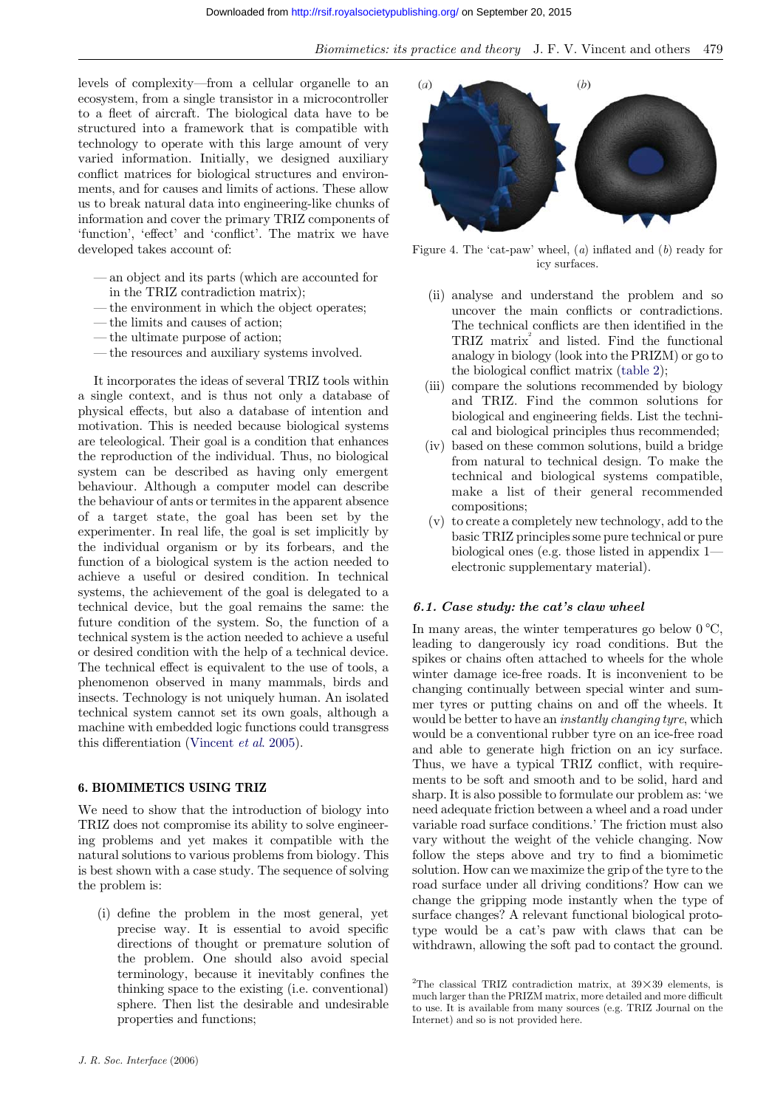<span id="page-8-0"></span>levels of complexity—from a cellula[r](http://rsif.royalsocietypublishing.org/) [organelle](http://rsif.royalsocietypublishing.org/) [to](http://rsif.royalsocietypublishing.org/) [an](http://rsif.royalsocietypublishing.org/) ecosystem, from a single transistor in a microcontroller to a fleet of aircraft. The biological data have to be structured into a framework that is compatible with technology to operate with this large amount of very varied information. Initially, we designed auxiliary conflict matrices for biological structures and environments, and for causes and limits of actions. These allow us to break natural data into engineering-like chunks of information and cover the primary TRIZ components of 'function', 'effect' and 'conflict'. The matrix we have developed takes account of:

- an object and its parts (which are accounted for in the TRIZ contradiction matrix);
- the environment in which the object operates;
- the limits and causes of action;
- the ultimate purpose of action;
- the resources and auxiliary systems involved.

It incorporates the ideas of several TRIZ tools within a single context, and is thus not only a database of physical effects, but also a database of intention and motivation. This is needed because biological systems are teleological. Their goal is a condition that enhances the reproduction of the individual. Thus, no biological system can be described as having only emergent behaviour. Although a computer model can describe the behaviour of ants or termites in the apparent absence of a target state, the goal has been set by the experimenter. In real life, the goal is set implicitly by the individual organism or by its forbears, and the function of a biological system is the action needed to achieve a useful or desired condition. In technical systems, the achievement of the goal is delegated to a technical device, but the goal remains the same: the future condition of the system. So, the function of a technical system is the action needed to achieve a useful or desired condition with the help of a technical device. The technical effect is equivalent to the use of tools, a phenomenon observed in many mammals, birds and insects. Technology is not uniquely human. An isolated technical system cannot set its own goals, although a machine with embedded logic functions could transgress this differentiation (Vincent et al. 2005).

#### 6. BIOMIMETICS USING TRIZ

We need to show t[hat the introduction](#page-11-0) of biology into TRIZ does not compromise its ability to solve engineering problems and yet makes it compatible with the natural solutions to various problems from biology. This is best shown with a case study. The sequence of solving the problem is:

(i) define the problem in the most general, yet precise way. It is essential to avoid specific directions of thought or premature solution of the problem. One should also avoid special terminology, because it inevitably confines the thinking space to the existing (i.e. conventional) sphere. Then list the desirable and undesirable properties and functions;



Figure 4. The 'cat-paw' wheel,  $(a)$  inflated and  $(b)$  ready for icy surfaces.

- (ii) analyse and understand the problem and so uncover the main conflicts or contradictions. The technical conflicts are then identified in the TRIZ matrix<sup>2</sup> and listed. Find the functional analogy in biology (look into the PRIZM) or go to the biological conflict matrix (table 2);
- (iii) compare the solutions recommended by biology and TRIZ. Find the common solutions for biological and engineering fields. List the technical and biological principles t[hus reco](#page-6-0)mmended;
- (iv) based on these common solutions, build a bridge from natural to technical design. To make the technical and biological systems compatible, make a list of their general recommended compositions;
- (v) to create a completely new technology, add to the basic TRIZ principles some pure technical or pure biological ones (e.g. those listed in appendix 1 electronic supplementary material).

#### 6.1. Case study: the cat's claw wheel

In many areas, the winter temperatures go below  $0^{\circ}C$ , leading to dangerously icy road conditions. But the spikes or chains often attached to wheels for the whole winter damage ice-free roads. It is inconvenient to be changing continually between special winter and summer tyres or putting chains on and off the wheels. It would be better to have an *instantly changing tyre*, which would be a conventional rubber tyre on an ice-free road and able to generate high friction on an icy surface. Thus, we have a typical TRIZ conflict, with requirements to be soft and smooth and to be solid, hard and sharp. It is also possible to formulate our problem as: 'we need adequate friction between a wheel and a road under variable road surface conditions.' The friction must also vary without the weight of the vehicle changing. Now follow the steps above and try to find a biomimetic solution. How can we maximize the grip of the tyre to the road surface under all driving conditions? How can we change the gripping mode instantly when the type of surface changes? A relevant functional biological prototype would be a cat's paw with claws that can be withdrawn, allowing the soft pad to contact the ground.

<sup>&</sup>lt;sup>2</sup>The classical TRIZ contradiction matrix, at  $39\times39$  elements, is much larger than the PRIZM matrix, more detailed and more difficult to use. It is available from many sources (e.g. TRIZ Journal on the Internet) and so is not provided here.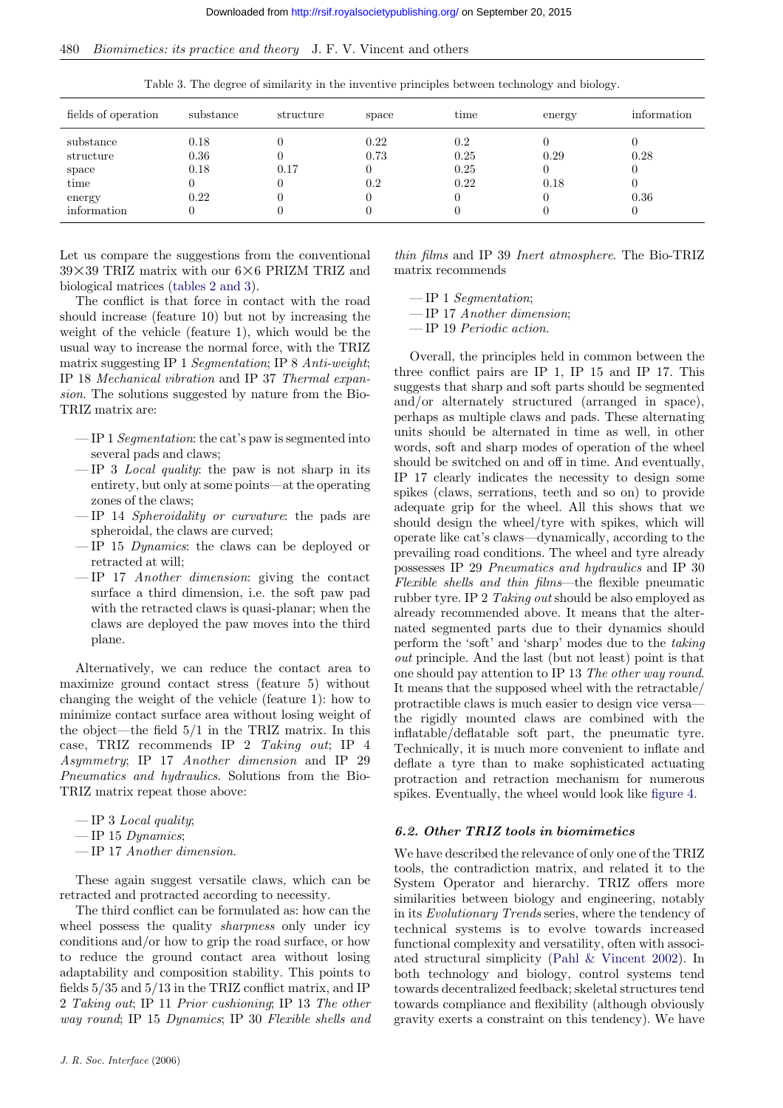|--|

| fields of operation                                              | substance                    | structure | space                    | time                        | energy       | information  |
|------------------------------------------------------------------|------------------------------|-----------|--------------------------|-----------------------------|--------------|--------------|
| substance<br>structure<br>space<br>time<br>energy<br>information | 0.18<br>0.36<br>0.18<br>0.22 | 0.17      | 0.22<br>0.73<br>0<br>0.2 | 0.2<br>0.25<br>0.25<br>0.22 | 0.29<br>0.18 | 0.28<br>0.36 |

Let us compare the suggestions from the conventional  $39\times39$  TRIZ matrix with our  $6\times6$  PRIZM TRIZ and biological matrices (tables 2 and 3).

The conflict is that force in contact with the road should increase (feature 10) but not by increasing the weight of the vehicle (feature 1), which would be the usual way to increa[se the normal](#page-6-0) force, with the TRIZ matrix suggesting IP 1 Segmentation; IP 8 Anti-weight; IP 18 Mechanical vibration and IP 37 Thermal expansion. The solutions suggested by nature from the Bio-TRIZ matrix are:

- IP 1 Segmentation: the cat's paw is segmented into several pads and claws;
- $-\text{IP } 3$  *Local quality*: the paw is not sharp in its entirety, but only at some points—at the operating zones of the claws;
- $-\text{IP}$  14 *Spheroidality or curvature*: the pads are spheroidal, the claws are curved;
- IP 15 Dynamics: the claws can be deployed or retracted at will;
- IP 17 Another dimension: giving the contact surface a third dimension, i.e. the soft paw pad with the retracted claws is quasi-planar; when the claws are deployed the paw moves into the third plane.

Alternatively, we can reduce the contact area to maximize ground contact stress (feature 5) without changing the weight of the vehicle (feature 1): how to minimize contact surface area without losing weight of the object—the field 5/1 in the TRIZ matrix. In this case, TRIZ recommends IP 2 Taking out; IP 4 Asymmetry; IP 17 Another dimension and IP 29 Pneumatics and hydraulics. Solutions from the Bio-TRIZ matrix repeat those above:

 $-\text{IP } 3$  Local quality;

- IP 15 Dynamics;
- IP 17 Another dimension.

These again suggest versatile claws, which can be retracted and protracted according to necessity.

The third conflict can be formulated as: how can the wheel possess the quality *sharpness* only under icy conditions and/or how to grip the road surface, or how to reduce the ground contact area without losing adaptability and composition stability. This points to fields 5/35 and 5/13 in the TRIZ conflict matrix, and IP 2 Taking out; IP 11 Prior cushioning; IP 13 The other way round; IP 15 Dynamics; IP 30 Flexible shells and

thin films and IP 39 Inert atmosphere. The Bio-TRIZ matrix recommends

— IP 1 Segmentation;

— IP 17 Another dimension;

— IP 19 Periodic action.

Overall, the principles held in common between the three conflict pairs are IP 1, IP 15 and IP 17. This suggests that sharp and soft parts should be segmented and/or alternately structured (arranged in space), perhaps as multiple claws and pads. These alternating units should be alternated in time as well, in other words, soft and sharp modes of operation of the wheel should be switched on and off in time. And eventually, IP 17 clearly indicates the necessity to design some spikes (claws, serrations, teeth and so on) to provide adequate grip for the wheel. All this shows that we should design the wheel/tyre with spikes, which will operate like cat's claws—dynamically, according to the prevailing road conditions. The wheel and tyre already possesses IP 29 Pneumatics and hydraulics and IP 30 Flexible shells and thin films—the flexible pneumatic rubber tyre. IP 2 Taking out should be also employed as already recommended above. It means that the alternated segmented parts due to their dynamics should perform the 'soft' and 'sharp' modes due to the taking out principle. And the last (but not least) point is that one should pay attention to IP 13 The other way round. It means that the supposed wheel with the retractable/ protractible claws is much easier to design vice versa the rigidly mounted claws are combined with the inflatable/deflatable soft part, the pneumatic tyre. Technically, it is much more convenient to inflate and deflate a tyre than to make sophisticated actuating protraction and retraction mechanism for numerous spikes. Eventually, the wheel would look like figure 4.

# 6.2. Other TRIZ tools in biomimetics

We have described the relevance of only one of [the TRI](#page-8-0)Z tools, the contradiction matrix, and related it to the System Operator and hierarchy. TRIZ offers more similarities between biology and engineering, notably in its Evolutionary Trends series, where the tendency of technical systems is to evolve towards increased functional complexity and versatility, often with associated structural simplicity (Pahl & Vincent 2002). In both technology and biology, control systems tend towards decentralized feedback; skeletal structures tend towards compliance and flexibility (although obviously gravity exerts a constraint [on this tendency\). We](#page-10-0) have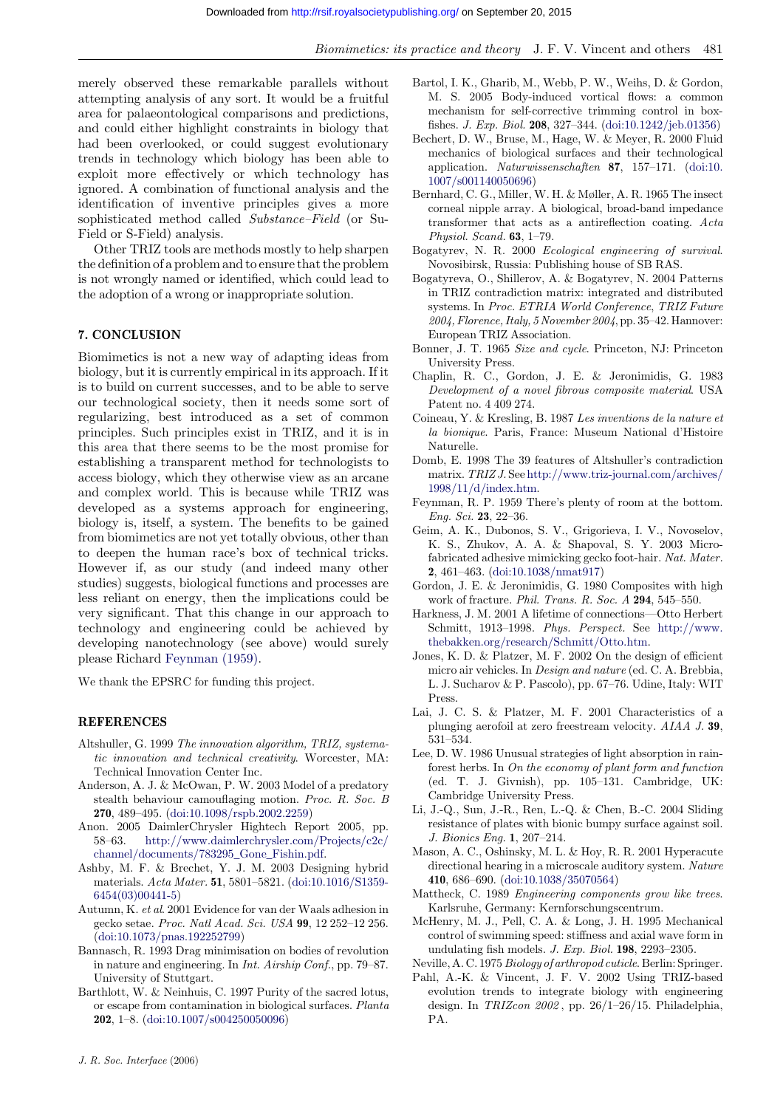<span id="page-10-0"></span>merely observed these remarkable [parallels](http://rsif.royalsocietypublishing.org/) [without](http://rsif.royalsocietypublishing.org/) attempting analysis of any sort. It would be a fruitful area for palaeontological comparisons and predictions, and could either highlight constraints in biology that had been overlooked, or could suggest evolutionary trends in technology which biology has been able to exploit more effectively or which technology has ignored. A combination of functional analysis and the identification of inventive principles gives a more sophisticated method called Substance–Field (or Su-Field or S-Field) analysis.

Other TRIZ tools are methods mostly to help sharpen the definition of a problem and to ensure that the problem is not wrongly named or identified, which could lead to the adoption of a wrong or inappropriate solution.

# 7. CONCLUSION

Biomimetics is not a new way of adapting ideas from biology, but it is currently empirical in its approach. If it is to build on current successes, and to be able to serve our technological society, then it needs some sort of regularizing, best introduced as a set of common principles. Such principles exist in TRIZ, and it is in this area that there seems to be the most promise for establishing a transparent method for technologists to access biology, which they otherwise view as an arcane and complex world. This is because while TRIZ was developed as a systems approach for engineering, biology is, itself, a system. The benefits to be gained from biomimetics are not yet totally obvious, other than to deepen the human race's box of technical tricks. However if, as our study (and indeed many other studies) suggests, biological functions and processes are less reliant on energy, then the implications could be very significant. That this change in our approach to technology and engineering could be achieved by developing nanotechnology (see above) would surely please Richard Feynman (1959).

We thank the EPSRC for funding this project.

#### REFERENCES

- Altshuller, G. 1999 The innovation algorithm, TRIZ, systematic innovation and technical creativity. Worcester, MA: Technical Innovation Center Inc.
- Anderson, A. J. & McOwan, P. W. 2003 Model of a predatory stealth behaviour camouflaging motion. Proc. R. Soc. B 270, 489–495. (doi:10.1098/rspb.2002.2259)
- Anon. 2005 DaimlerChrysler Hightech Report 2005, pp. 58–63. http://www.daimlerchrysler.com/Projects/c2c/ channel/documents/783295\_Gone\_Fishin.pdf.
- Ashby, M. F. & Brechet, Y. J. M. 2003 Designing hybrid materials. Acta Mater. 51[, 5801–5821. \(doi:](http://dx.doi.org/doi:10.1098/rspb.2002.2259)10.1016/S1359- 6454(03)00441-5)
- Autumn, K. et al[. 2001 Evidence for van der Waals adhesion in](http://www.daimlerchrysler.com/Projects/c2c/channel/documents/783295_Gone_Fishin.pdf) gecko setae. [Proc. Natl Acad. Sci. USA](http://www.daimlerchrysler.com/Projects/c2c/channel/documents/783295_Gone_Fishin.pdf) 99, 12 252–12 256. (doi:10.1073/pnas.192252799)
- Bannasch, R. 1993 Drag minimisation on [bodies of revolution](http://dx.doi.org/doi:10.1016/S1359-6454(03)00441-5) [in nature and eng](http://dx.doi.org/doi:10.1016/S1359-6454(03)00441-5)ineering. In Int. Airship Conf., pp. 79–87. University of Stuttgart.
- Barthlott, W. & Neinhuis, C. 1997 Purity of the sacred lotus, [or escape from contamination](http://dx.doi.org/doi:10.1073/pnas.192252799) in biological surfaces. Planta 202, 1–8. (doi:10.1007/s004250050096)
- Bartol, I. K., Gharib, M., Webb, P. W., Weihs, D. & Gordon, M. S. 2005 Body-induced vortical flows: a common mechanism for self-corrective trimming control in boxfishes. J. Exp. Biol. 208, 327–344. (doi:10.1242/jeb.01356)
- Bechert, D. W., Bruse, M., Hage, W. & Meyer, R. 2000 Fluid mechanics of biological surfaces and their technological application. Naturwissenschaften 87, 157–171. (doi:10. 1007/s001140050696)
- Bernhard, C. G., Miller, W. H. & Møll[er,](http://dx.doi.org/doi:10.1242/jeb.01356) [A.](http://dx.doi.org/doi:10.1242/jeb.01356) [R.](http://dx.doi.org/doi:10.1242/jeb.01356) [1965](http://dx.doi.org/doi:10.1242/jeb.01356) [The](http://dx.doi.org/doi:10.1242/jeb.01356) [insec](http://dx.doi.org/doi:10.1242/jeb.01356)t corneal nipple array. A biological, broad-band impedance transformer that acts as a antireflection coating. [Acta](http://dx.doi.org/doi:10.1007/s001140050696) Physiol. Scand. 63, 1–79.
- Bo[gatyrev, N. R. 2000](http://dx.doi.org/doi:10.1007/s001140050696) Ecological engineering of survival. Novosibirsk, Russia: Publishing house of SB RAS.
- Bogatyreva, O., Shillerov, A. & Bogatyrev, N. 2004 Patterns in TRIZ contradiction matrix: integrated and distributed systems. In Proc. ETRIA World Conference, TRIZ Future 2004, Florence, Italy, 5 November 2004, pp. 35–42. Hannover: European TRIZ Association.
- Bonner, J. T. 1965 Size and cycle. Princeton, NJ: Princeton University Press.
- Chaplin, R. C., Gordon, J. E. & Jeronimidis, G. 1983 Development of a novel fibrous composite material. USA Patent no. 4 409 274.
- Coineau, Y. & Kresling, B. 1987 Les inventions de la nature et la bionique. Paris, France: Museum National d'Histoire Naturelle.
- Domb, E. 1998 The 39 features of Altshuller's contradiction matrix. TRIZ J. See http://www.triz-journal.com/archives/ 1998/11/d/index.htm.
- Feynman, R. P. 1959 There's plenty of room at the bottom. Eng. Sci. 23, 22–36.
- Geim, A. K., Dubonos, S. V., Grigorieva, I. V., Novoselov, K. S., Zhukov, A[. A. & Shapoval, S. Y. 2003 Micro](http://www.triz-journal.com/archives/1998/11/d/index.htm)[fabricated](http://www.triz-journal.com/archives/1998/11/d/index.htm) [adhesive](http://www.triz-journal.com/archives/1998/11/d/index.htm) [m](http://www.triz-journal.com/archives/1998/11/d/index.htm)imicking gecko foot-hair. Nat. Mater. 2, 461–463. (doi:10.1038/nmat917)
- Gordon, J. E. & Jeronimidis, G. 1980 Composites with high work of fracture. Phil. Trans. R. Soc. A 294, 545–550.
- Harkness, J. M. 2001 A lifetime of connections—Otto Herbert Schmitt, 1913–1998. Phys. Perspect. See http://www. thebakken.o[rg/research/Schmitt/O](http://dx.doi.org/doi:10.1038/nmat917)tto.htm.
- Jones, K. D. & Platzer, M. F. 2002 On the design of efficient micro air vehicles. In Design and nature (ed. C. A. Brebbia, L. J. Sucharov & P. Pascolo), pp. 67–76. Udin[e, Italy: WIT](http://www.thebakken.org/research/Schmitt/Otto.htm) Press.
- La[i,](http://www.thebakken.org/research/Schmitt/Otto.htm) [J.](http://www.thebakken.org/research/Schmitt/Otto.htm) [C.](http://www.thebakken.org/research/Schmitt/Otto.htm) [S.](http://www.thebakken.org/research/Schmitt/Otto.htm) [&](http://www.thebakken.org/research/Schmitt/Otto.htm) [Platzer,](http://www.thebakken.org/research/Schmitt/Otto.htm) [M.](http://www.thebakken.org/research/Schmitt/Otto.htm) [F.](http://www.thebakken.org/research/Schmitt/Otto.htm) [2001](http://www.thebakken.org/research/Schmitt/Otto.htm) [Chara](http://www.thebakken.org/research/Schmitt/Otto.htm)cteristics of a plunging aerofoil at zero freestream velocity. AIAA J. 39, 531–534.
- Lee, D. W. 1986 Unusual strategies of light absorption in rainforest herbs. In On the economy of plant form and function (ed. T. J. Givnish), pp. 105–131. Cambridge, UK: Cambridge University Press.
- Li, J.-Q., Sun, J.-R., Ren, L.-Q. & Chen, B.-C. 2004 Sliding resistance of plates with bionic bumpy surface against soil. J. Bionics Eng. 1, 207–214.
- Mason, A. C., Oshinsky, M. L. & Hoy, R. R. 2001 Hyperacute directional hearing in a microscale auditory system. Nature 410, 686–690. (doi:10.1038/35070564)
- Mattheck, C. 1989 Engineering components grow like trees. Karlsruhe, Germany: Kernforschungscentrum.
- McHenry, M. J., Pell, C. A. & Long, J. H. 1995 Mechanical control of swimming speed: stiffness and axial wave form in undulating fish models. [J. Exp. Biol.](http://dx.doi.org/doi:10.1038/35070564) 198, 2293–2305.
- Neville, A. C. 1975 Biology of arthropod cuticle. Berlin: Springer.
- Pahl, A.-K. & Vincent, J. F. V. 2002 Using TRIZ-based evolution trends to integrate biology with engineering design. In TRIZcon 2002 , pp. 26/1–26/15. Philadelphia, PA.